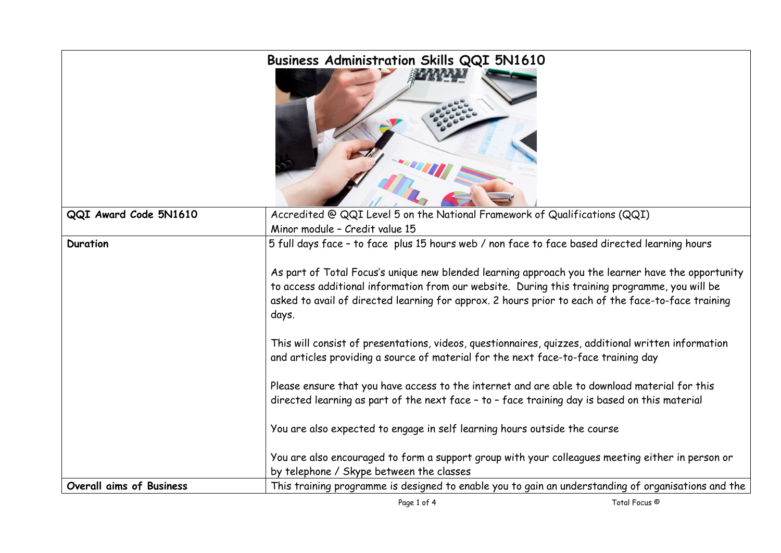| Business Administration Skills QQI 5N1610 |                                                                                                                                                                                                                                                                                                                                                                                                                      |  |
|-------------------------------------------|----------------------------------------------------------------------------------------------------------------------------------------------------------------------------------------------------------------------------------------------------------------------------------------------------------------------------------------------------------------------------------------------------------------------|--|
| QQI Award Code 5N1610                     | Accredited @ QQI Level 5 on the National Framework of Qualifications (QQI)                                                                                                                                                                                                                                                                                                                                           |  |
|                                           | Minor module - Credit value 15                                                                                                                                                                                                                                                                                                                                                                                       |  |
| <b>Duration</b>                           | 5 full days face - to face plus 15 hours web / non face to face based directed learning hours<br>As part of Total Focus's unique new blended learning approach you the learner have the opportunity<br>to access additional information from our website. During this training programme, you will be<br>asked to avail of directed learning for approx. 2 hours prior to each of the face-to-face training<br>days. |  |
|                                           | This will consist of presentations, videos, questionnaires, quizzes, additional written information<br>and articles providing a source of material for the next face-to-face training day                                                                                                                                                                                                                            |  |
|                                           | Please ensure that you have access to the internet and are able to download material for this<br>directed learning as part of the next face - to - face training day is based on this material                                                                                                                                                                                                                       |  |
|                                           | You are also expected to engage in self learning hours outside the course                                                                                                                                                                                                                                                                                                                                            |  |
|                                           | You are also encouraged to form a support group with your colleagues meeting either in person or<br>by telephone / Skype between the classes                                                                                                                                                                                                                                                                         |  |
| Overall aims of Business                  | This training programme is designed to enable you to gain an understanding of organisations and the                                                                                                                                                                                                                                                                                                                  |  |
|                                           |                                                                                                                                                                                                                                                                                                                                                                                                                      |  |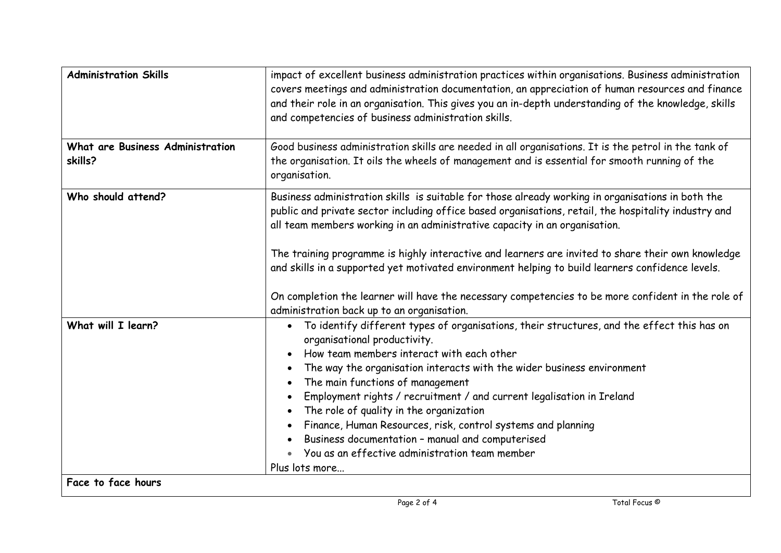| <b>Administration Skills</b>                       | impact of excellent business administration practices within organisations. Business administration<br>covers meetings and administration documentation, an appreciation of human resources and finance<br>and their role in an organisation. This gives you an in-depth understanding of the knowledge, skills<br>and competencies of business administration skills.                                                                                                                                                                                                                            |  |  |
|----------------------------------------------------|---------------------------------------------------------------------------------------------------------------------------------------------------------------------------------------------------------------------------------------------------------------------------------------------------------------------------------------------------------------------------------------------------------------------------------------------------------------------------------------------------------------------------------------------------------------------------------------------------|--|--|
| <b>What are Business Administration</b><br>skills? | Good business administration skills are needed in all organisations. It is the petrol in the tank of<br>the organisation. It oils the wheels of management and is essential for smooth running of the<br>organisation.                                                                                                                                                                                                                                                                                                                                                                            |  |  |
| Who should attend?                                 | Business administration skills is suitable for those already working in organisations in both the<br>public and private sector including office based organisations, retail, the hospitality industry and<br>all team members working in an administrative capacity in an organisation.<br>The training programme is highly interactive and learners are invited to share their own knowledge                                                                                                                                                                                                     |  |  |
|                                                    | and skills in a supported yet motivated environment helping to build learners confidence levels.<br>On completion the learner will have the necessary competencies to be more confident in the role of<br>administration back up to an organisation.                                                                                                                                                                                                                                                                                                                                              |  |  |
| What will I learn?<br>Face to face hours           | To identify different types of organisations, their structures, and the effect this has on<br>organisational productivity.<br>How team members interact with each other<br>The way the organisation interacts with the wider business environment<br>The main functions of management<br>Employment rights / recruitment / and current legalisation in Ireland<br>The role of quality in the organization<br>Finance, Human Resources, risk, control systems and planning<br>Business documentation - manual and computerised<br>You as an effective administration team member<br>Plus lots more |  |  |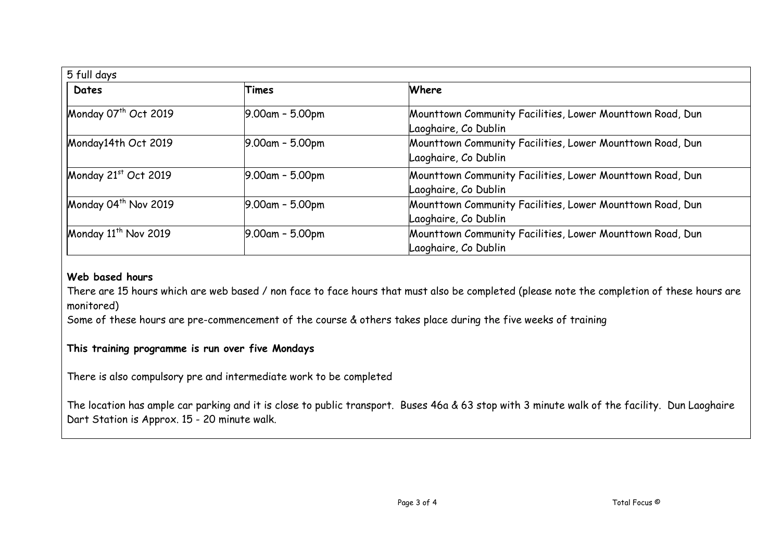| 5 full days                      |                    |                                                                                   |  |  |
|----------------------------------|--------------------|-----------------------------------------------------------------------------------|--|--|
| Dates                            | Times              | Where                                                                             |  |  |
| Monday 07 <sup>th</sup> Oct 2019 | $9.00$ am - 5.00pm | Mounttown Community Facilities, Lower Mounttown Road, Dun<br>Laoghaire, Co Dublin |  |  |
| Monday14th Oct 2019              | $9.00$ am - 5.00pm | Mounttown Community Facilities, Lower Mounttown Road, Dun<br>Laoghaire, Co Dublin |  |  |
| Monday 21st Oct 2019             | $9.00$ am - 5.00pm | Mounttown Community Facilities, Lower Mounttown Road, Dun<br>Laoghaire, Co Dublin |  |  |
| Monday 04 <sup>th</sup> Nov 2019 | $9.00$ am - 5.00pm | Mounttown Community Facilities, Lower Mounttown Road, Dun<br>Laoghaire, Co Dublin |  |  |
| Monday $11^{th}$ Nov 2019        | $9.00$ am - 5.00pm | Mounttown Community Facilities, Lower Mounttown Road, Dun<br>Laoghaire, Co Dublin |  |  |

## **Web based hours**

There are 15 hours which are web based / non face to face hours that must also be completed (please note the completion of these hours are monitored)

Some of these hours are pre-commencement of the course & others takes place during the five weeks of training

## **This training programme is run over five Mondays**

There is also compulsory pre and intermediate work to be completed

The location has ample car parking and it is close to public transport. Buses 46a & 63 stop with 3 minute walk of the facility. Dun Laoghaire Dart Station is Approx. 15 - 20 minute walk.